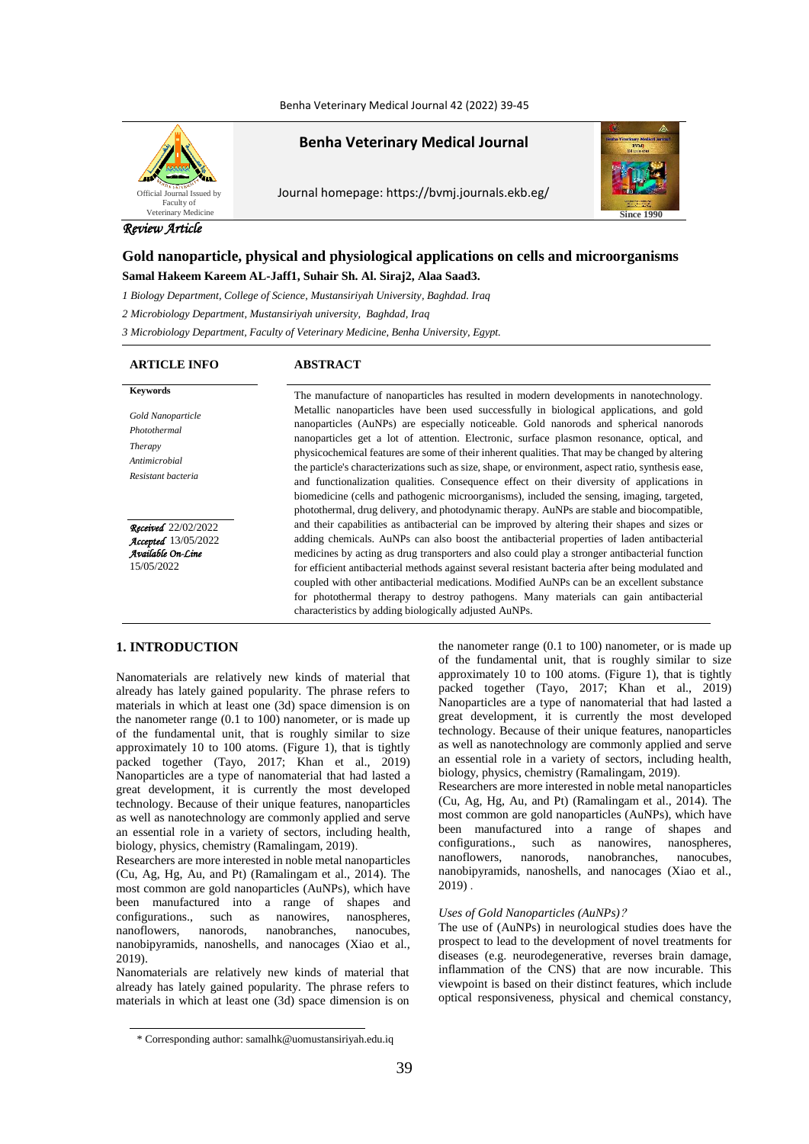Benha Veterinary Medical Journal 42 (2022) 39-45



# **Benha Veterinary Medical Journal**

Journal homepage: https://bvmj.journals.ekb.eg/



# *Review Article*

# **Gold nanoparticle, physical and physiological applications on cells and microorganisms Samal Hakeem Kareem AL-Jaff1, Suhair Sh. Al. Siraj2, Alaa Saad3.**

*1 Biology Department, College of Science, Mustansiriyah University, Baghdad. Iraq*

*2 Microbiology Department, Mustansiriyah university, Baghdad, Iraq*

*3 Microbiology Department, Faculty of Veterinary Medicine, Benha University, Egypt.*

# **ARTICLE INFO ABSTRACT**

*Gold Nanoparticle Photothermal Therapy Antimicrobial Resistant bacteria*

*Received*22/02/2022 *Accepted*13/05/2022 *Available On-Line* 15/05/2022

**Keywords** The manufacture of nanoparticles has resulted in modern developments in nanotechnology. Metallic nanoparticles have been used successfully in biological applications, and gold nanoparticles (AuNPs) are especially noticeable. Gold nanorods and spherical nanorods nanoparticles get a lot of attention. Electronic, surface plasmon resonance, optical, and physicochemical features are some of their inherent qualities. That may be changed by altering the particle's characterizations such as size, shape, or environment, aspect ratio, synthesis ease, and functionalization qualities. Consequence effect on their diversity of applications in biomedicine (cells and pathogenic microorganisms), included the sensing, imaging, targeted, photothermal, drug delivery, and photodynamic therapy. AuNPs are stable and biocompatible, and their capabilities as antibacterial can be improved by altering their shapes and sizes or adding chemicals. AuNPs can also boost the antibacterial properties of laden antibacterial medicines by acting as drug transporters and also could play a stronger antibacterial function for efficient antibacterial methods against several resistant bacteria after being modulated and coupled with other antibacterial medications. Modified AuNPs can be an excellent substance for photothermal therapy to destroy pathogens. Many materials can gain antibacterial characteristics by adding biologically adjusted AuNPs.

# **1. INTRODUCTION**

Nanomaterials are relatively new kinds of material that already has lately gained popularity. The phrase refers to materials in which at least one (3d) space dimension is on the nanometer range (0.1 to 100) nanometer, or is made up of the fundamental unit, that is roughly similar to size approximately 10 to 100 atoms. (Figure 1), that is tightly packed together (Tayo, 2017; Khan et al., 2019) Nanoparticles are a type of nanomaterial that had lasted a great development, it is currently the most developed technology. Because of their unique features, nanoparticles as well as nanotechnology are commonly applied and serve an essential role in a variety of sectors, including health, biology, physics, chemistry (Ramalingam, 2019).

Researchers are more interested in noble metal nanoparticles (Cu, Ag, Hg, Au, and Pt) (Ramalingam et al., 2014). The most common are gold nanoparticles (AuNPs), which have been manufactured into a range of shapes and configurations., such as nanowires, nanospheres, nanoflowers, nanorods, nanobranches, nanocubes, nanobipyramids, nanoshells, and nanocages (Xiao et al., 2019).

Nanomaterials are relatively new kinds of material that already has lately gained popularity. The phrase refers to materials in which at least one (3d) space dimension is on

the nanometer range (0.1 to 100) nanometer, or is made up of the fundamental unit, that is roughly similar to size approximately 10 to 100 atoms. (Figure 1), that is tightly packed together (Tayo, 2017; Khan et al., 2019) Nanoparticles are a type of nanomaterial that had lasted a great development, it is currently the most developed technology. Because of their unique features, nanoparticles as well as nanotechnology are commonly applied and serve an essential role in a variety of sectors, including health, biology, physics, chemistry (Ramalingam, 2019).

Researchers are more interested in noble metal nanoparticles (Cu, Ag, Hg, Au, and Pt) (Ramalingam et al., 2014). The most common are gold nanoparticles (AuNPs), which have been manufactured into a range of shapes and configurations., such as nanowires, nanospheres, nanoflowers, nanorods, nanobranches, nanocubes, nanobipyramids, nanoshells, and nanocages (Xiao et al., 2019) .

# *Uses of Gold Nanoparticles (AuNPs)*?

The use of (AuNPs) in neurological studies does have the prospect to lead to the development of novel treatments for diseases (e.g. neurodegenerative, reverses brain damage, inflammation of the CNS) that are now incurable. This viewpoint is based on their distinct features, which include optical responsiveness, physical and chemical constancy,

<sup>\*</sup> Corresponding author: samalhk@uomustansiriyah.edu.iq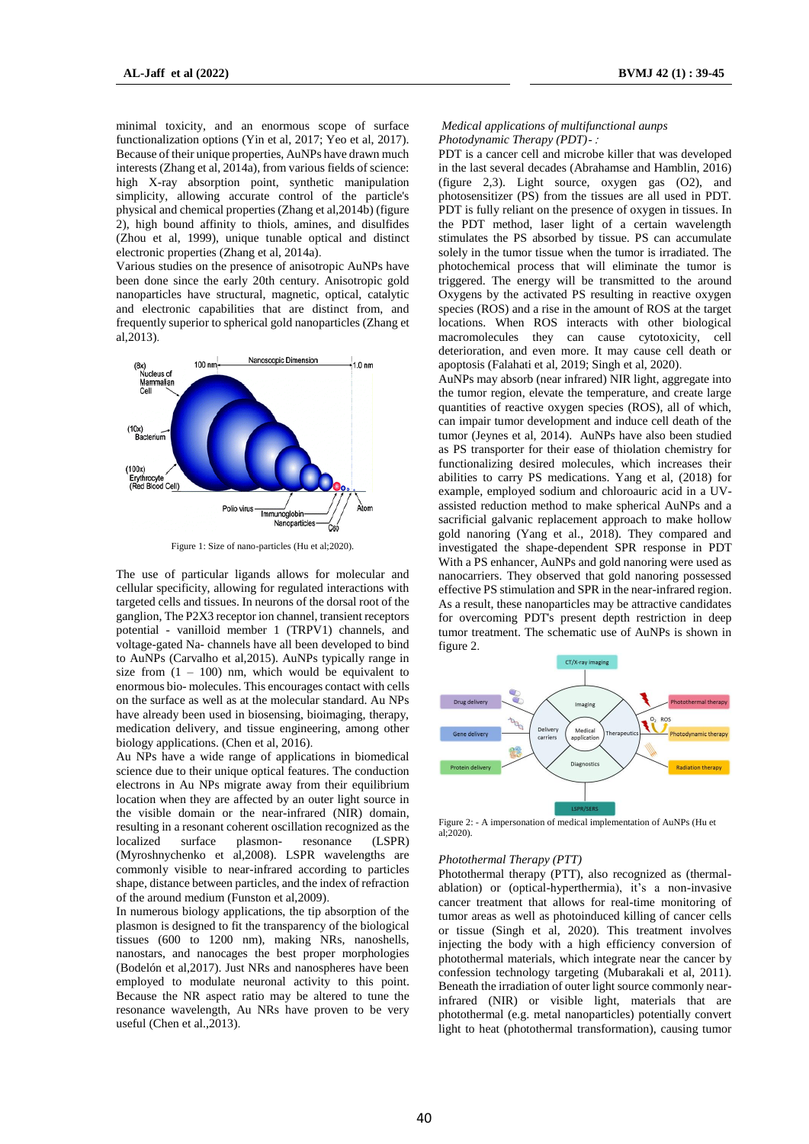minimal toxicity, and an enormous scope of surface functionalization options (Yin et al, 2017; Yeo et al, 2017). Because of their unique properties, AuNPs have drawn much interests (Zhang et al, 2014a), from various fields of science: high X-ray absorption point, synthetic manipulation simplicity, allowing accurate control of the particle's physical and chemical properties (Zhang et al,2014b) (figure 2), high bound affinity to thiols, amines, and disulfides (Zhou et al, 1999), unique tunable optical and distinct electronic properties (Zhang et al, 2014a).

Various studies on the presence of anisotropic AuNPs have been done since the early 20th century. Anisotropic gold nanoparticles have structural, magnetic, optical, catalytic and electronic capabilities that are distinct from, and frequently superior to spherical gold nanoparticles (Zhang et al,2013).



Figure 1: Size of nano-particles (Hu et al;2020).

The use of particular ligands allows for molecular and cellular specificity, allowing for regulated interactions with targeted cells and tissues. In neurons of the dorsal root of the ganglion, The P2X3 receptor ion channel, transient receptors potential - vanilloid member 1 (TRPV1) channels, and voltage-gated Na- channels have all been developed to bind to AuNPs (Carvalho et al,2015). AuNPs typically range in size from  $(1 - 100)$  nm, which would be equivalent to enormous bio- molecules. This encourages contact with cells on the surface as well as at the molecular standard. Au NPs have already been used in biosensing, bioimaging, therapy, medication delivery, and tissue engineering, among other biology applications. (Chen et al, 2016).

Au NPs have a wide range of applications in biomedical science due to their unique optical features. The conduction electrons in Au NPs migrate away from their equilibrium location when they are affected by an outer light source in the visible domain or the near-infrared (NIR) domain, resulting in a resonant coherent oscillation recognized as the localized surface plasmon- resonance (LSPR) (Myroshnychenko et al,2008). LSPR wavelengths are commonly visible to near-infrared according to particles shape, distance between particles, and the index of refraction of the around medium (Funston et al,2009).

In numerous biology applications, the tip absorption of the plasmon is designed to fit the transparency of the biological tissues (600 to 1200 nm), making NRs, nanoshells, nanostars, and nanocages the best proper morphologies (Bodelón et al,2017). Just NRs and nanospheres have been employed to modulate neuronal activity to this point. Because the NR aspect ratio may be altered to tune the resonance wavelength, Au NRs have proven to be very useful (Chen et al.,2013).

*Medical applications of multifunctional aunps Photodynamic Therapy (PDT)*- :

PDT is a cancer cell and microbe killer that was developed in the last several decades (Abrahamse and Hamblin, 2016) (figure 2,3). Light source, oxygen gas (O2), and photosensitizer (PS) from the tissues are all used in PDT. PDT is fully reliant on the presence of oxygen in tissues. In the PDT method, laser light of a certain wavelength stimulates the PS absorbed by tissue. PS can accumulate solely in the tumor tissue when the tumor is irradiated. The photochemical process that will eliminate the tumor is triggered. The energy will be transmitted to the around Oxygens by the activated PS resulting in reactive oxygen species (ROS) and a rise in the amount of ROS at the target locations. When ROS interacts with other biological macromolecules they can cause cytotoxicity, cell deterioration, and even more. It may cause cell death or apoptosis (Falahati et al, 2019; Singh et al, 2020).

AuNPs may absorb (near infrared) NIR light, aggregate into the tumor region, elevate the temperature, and create large quantities of reactive oxygen species (ROS), all of which, can impair tumor development and induce cell death of the tumor (Jeynes et al, 2014). AuNPs have also been studied as PS transporter for their ease of thiolation chemistry for functionalizing desired molecules, which increases their abilities to carry PS medications. Yang et al, (2018) for example, employed sodium and chloroauric acid in a UVassisted reduction method to make spherical AuNPs and a sacrificial galvanic replacement approach to make hollow gold nanoring (Yang et al., 2018). They compared and investigated the shape-dependent SPR response in PDT With a PS enhancer, AuNPs and gold nanoring were used as nanocarriers. They observed that gold nanoring possessed effective PS stimulation and SPR in the near-infrared region. As a result, these nanoparticles may be attractive candidates for overcoming PDT's present depth restriction in deep tumor treatment. The schematic use of AuNPs is shown in figure 2.



Figure 2: - A impersonation of medical implementation of AuNPs (Hu et al;2020).

## *Photothermal Therapy (PTT)*

Photothermal therapy (PTT), also recognized as (thermalablation) or (optical-hyperthermia), it's a non-invasive cancer treatment that allows for real-time monitoring of tumor areas as well as photoinduced killing of cancer cells or tissue (Singh et al, 2020). This treatment involves injecting the body with a high efficiency conversion of photothermal materials, which integrate near the cancer by confession technology targeting (Mubarakali et al, 2011). Beneath the irradiation of outer light source commonly nearinfrared (NIR) or visible light, materials that are photothermal (e.g. metal nanoparticles) potentially convert light to heat (photothermal transformation), causing tumor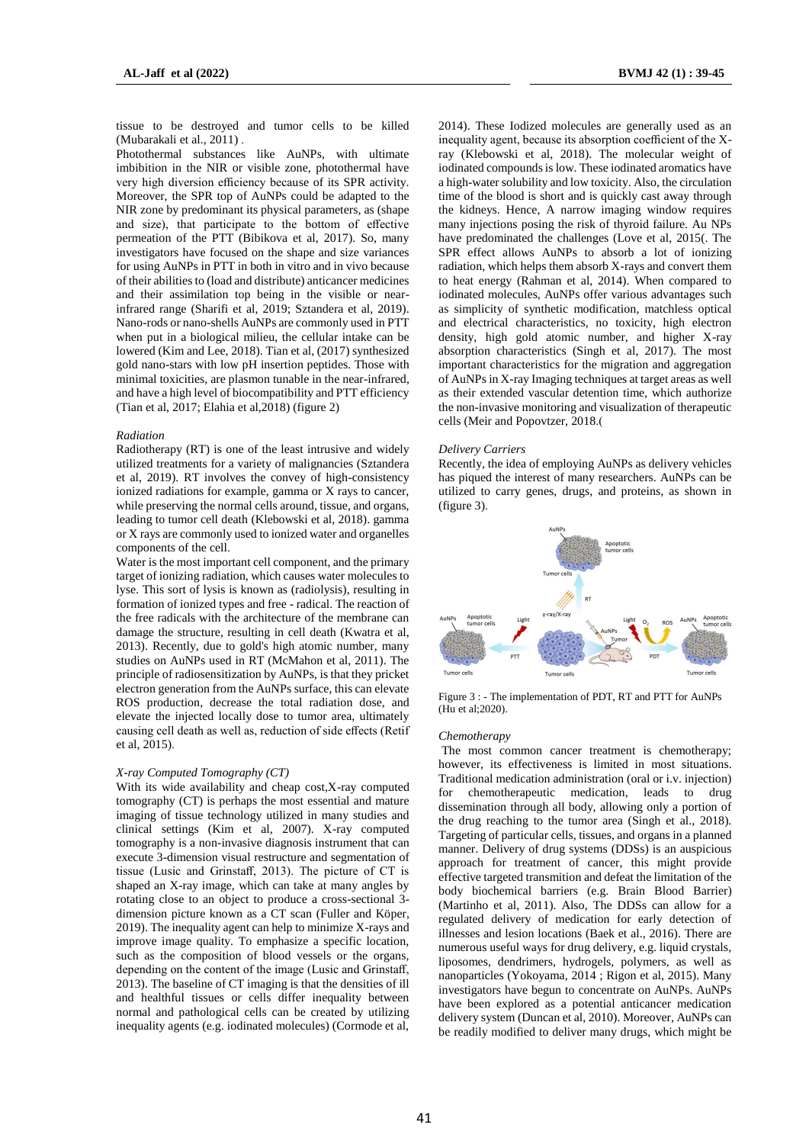tissue to be destroyed and tumor cells to be killed (Mubarakali et al., 2011) .

Photothermal substances like AuNPs, with ultimate imbibition in the NIR or visible zone, photothermal have very high diversion efficiency because of its SPR activity. Moreover, the SPR top of AuNPs could be adapted to the NIR zone by predominant its physical parameters, as (shape and size), that participate to the bottom of effective permeation of the PTT (Bibikova et al, 2017). So, many investigators have focused on the shape and size variances for using AuNPs in PTT in both in vitro and in vivo because of their abilities to (load and distribute) anticancer medicines and their assimilation top being in the visible or nearinfrared range (Sharifi et al, 2019; Sztandera et al, 2019). Nano-rods or nano-shells AuNPs are commonly used in PTT when put in a biological milieu, the cellular intake can be lowered (Kim and Lee, 2018). Tian et al, (2017) synthesized gold nano-stars with low pH insertion peptides. Those with minimal toxicities, are plasmon tunable in the near-infrared, and have a high level of biocompatibility and PTT efficiency (Tian et al, 2017; Elahia et al,2018) (figure 2)

#### *Radiation*

Radiotherapy (RT) is one of the least intrusive and widely utilized treatments for a variety of malignancies (Sztandera et al, 2019). RT involves the convey of high-consistency ionized radiations for example, gamma or X rays to cancer, while preserving the normal cells around, tissue, and organs, leading to tumor cell death (Klebowski et al, 2018). gamma or X rays are commonly used to ionized water and organelles components of the cell.

Water is the most important cell component, and the primary target of ionizing radiation, which causes water molecules to lyse. This sort of lysis is known as (radiolysis), resulting in formation of ionized types and free - radical. The reaction of the free radicals with the architecture of the membrane can damage the structure, resulting in cell death (Kwatra et al, 2013). Recently, due to gold's high atomic number, many studies on AuNPs used in RT (McMahon et al, 2011). The principle of radiosensitization by AuNPs, is that they pricket electron generation from the AuNPs surface, this can elevate ROS production, decrease the total radiation dose, and elevate the injected locally dose to tumor area, ultimately causing cell death as well as, reduction of side effects (Retif et al, 2015).

#### *X-ray Computed Tomography (CT)*

With its wide availability and cheap cost,X-ray computed tomography (CT) is perhaps the most essential and mature imaging of tissue technology utilized in many studies and clinical settings (Kim et al, 2007). X-ray computed tomography is a non-invasive diagnosis instrument that can execute 3-dimension visual restructure and segmentation of tissue (Lusic and Grinstaff, 2013). The picture of CT is shaped an X-ray image, which can take at many angles by rotating close to an object to produce a cross-sectional 3 dimension picture known as a CT scan (Fuller and Köper, 2019). The inequality agent can help to minimize X-rays and improve image quality. To emphasize a specific location, such as the composition of blood vessels or the organs, depending on the content of the image (Lusic and Grinstaff, 2013). The baseline of CT imaging is that the densities of ill and healthful tissues or cells differ inequality between normal and pathological cells can be created by utilizing inequality agents (e.g. iodinated molecules) (Cormode et al,

2014). These Iodized molecules are generally used as an inequality agent, because its absorption coefficient of the Xray (Klebowski et al, 2018). The molecular weight of iodinated compounds is low. These iodinated aromatics have a high-water solubility and low toxicity. Also, the circulation time of the blood is short and is quickly cast away through the kidneys. Hence, A narrow imaging window requires many injections posing the risk of thyroid failure. Au NPs have predominated the challenges (Love et al, 2015(. The SPR effect allows AuNPs to absorb a lot of ionizing radiation, which helps them absorb X-rays and convert them to heat energy (Rahman et al, 2014). When compared to iodinated molecules, AuNPs offer various advantages such as simplicity of synthetic modification, matchless optical and electrical characteristics, no toxicity, high electron density, high gold atomic number, and higher X-ray absorption characteristics (Singh et al, 2017). The most important characteristics for the migration and aggregation of AuNPs in X-ray Imaging techniques at target areas as well as their extended vascular detention time, which authorize the non-invasive monitoring and visualization of therapeutic cells (Meir and Popovtzer, 2018.)

#### *Delivery Carriers*

Recently, the idea of employing AuNPs as delivery vehicles has piqued the interest of many researchers. AuNPs can be utilized to carry genes, drugs, and proteins, as shown in (figure 3).



Figure 3 : - The implementation of PDT, RT and PTT for AuNPs (Hu et al;2020).

#### *Chemotherapy*

The most common cancer treatment is chemotherapy; however, its effectiveness is limited in most situations. Traditional medication administration (oral or i.v. injection) for chemotherapeutic medication, leads to drug dissemination through all body, allowing only a portion of the drug reaching to the tumor area (Singh et al., 2018). Targeting of particular cells, tissues, and organs in a planned manner. Delivery of drug systems (DDSs) is an auspicious approach for treatment of cancer, this might provide effective targeted transmition and defeat the limitation of the body biochemical barriers (e.g. Brain Blood Barrier) (Martinho et al, 2011). Also, The DDSs can allow for a regulated delivery of medication for early detection of illnesses and lesion locations (Baek et al., 2016). There are numerous useful ways for drug delivery, e.g. liquid crystals, liposomes, dendrimers, hydrogels, polymers, as well as nanoparticles (Yokoyama, 2014 ; Rigon et al, 2015). Many investigators have begun to concentrate on AuNPs. AuNPs have been explored as a potential anticancer medication delivery system (Duncan et al, 2010). Moreover, AuNPs can be readily modified to deliver many drugs, which might be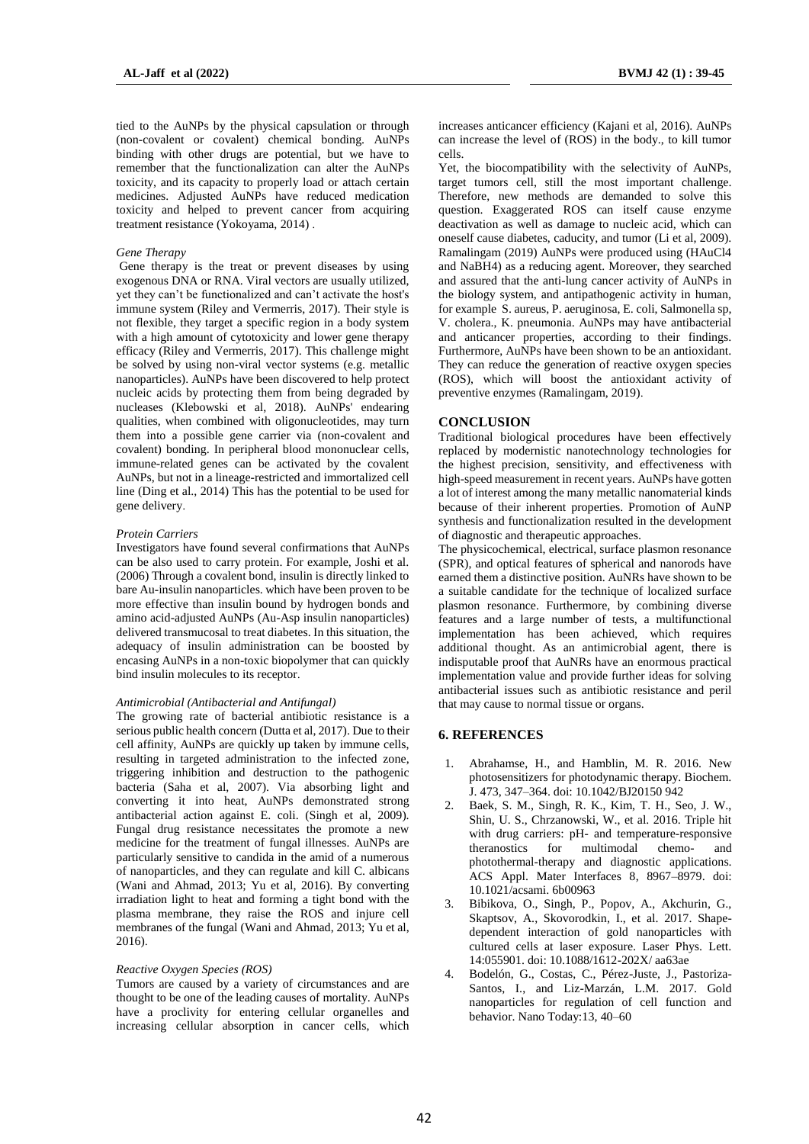tied to the AuNPs by the physical capsulation or through (non-covalent or covalent) chemical bonding. AuNPs binding with other drugs are potential, but we have to remember that the functionalization can alter the AuNPs toxicity, and its capacity to properly load or attach certain medicines. Adjusted AuNPs have reduced medication toxicity and helped to prevent cancer from acquiring treatment resistance (Yokoyama, 2014) .

### *Gene Therapy*

Gene therapy is the treat or prevent diseases by using exogenous DNA or RNA. Viral vectors are usually utilized, yet they can't be functionalized and can't activate the host's immune system (Riley and Vermerris, 2017). Their style is not flexible, they target a specific region in a body system with a high amount of cytotoxicity and lower gene therapy efficacy (Riley and Vermerris, 2017). This challenge might be solved by using non-viral vector systems (e.g. metallic nanoparticles). AuNPs have been discovered to help protect nucleic acids by protecting them from being degraded by nucleases (Klebowski et al, 2018). AuNPs' endearing qualities, when combined with oligonucleotides, may turn them into a possible gene carrier via (non-covalent and covalent) bonding. In peripheral blood mononuclear cells, immune-related genes can be activated by the covalent AuNPs, but not in a lineage-restricted and immortalized cell line (Ding et al., 2014) This has the potential to be used for gene delivery.

## *Protein Carriers*

Investigators have found several confirmations that AuNPs can be also used to carry protein. For example, Joshi et al. (2006) Through a covalent bond, insulin is directly linked to bare Au-insulin nanoparticles. which have been proven to be more effective than insulin bound by hydrogen bonds and amino acid-adjusted AuNPs (Au-Asp insulin nanoparticles) delivered transmucosal to treat diabetes. In this situation, the adequacy of insulin administration can be boosted by encasing AuNPs in a non-toxic biopolymer that can quickly bind insulin molecules to its receptor.

#### *Antimicrobial (Antibacterial and Antifungal)*

The growing rate of bacterial antibiotic resistance is a serious public health concern (Dutta et al, 2017). Due to their cell affinity, AuNPs are quickly up taken by immune cells, resulting in targeted administration to the infected zone, triggering inhibition and destruction to the pathogenic bacteria (Saha et al, 2007). Via absorbing light and converting it into heat, AuNPs demonstrated strong antibacterial action against E. coli. (Singh et al, 2009). Fungal drug resistance necessitates the promote a new medicine for the treatment of fungal illnesses. AuNPs are particularly sensitive to candida in the amid of a numerous of nanoparticles, and they can regulate and kill C. albicans (Wani and Ahmad, 2013; Yu et al, 2016). By converting irradiation light to heat and forming a tight bond with the plasma membrane, they raise the ROS and injure cell membranes of the fungal (Wani and Ahmad, 2013; Yu et al, 2016).

## *Reactive Oxygen Species (ROS)*

Tumors are caused by a variety of circumstances and are thought to be one of the leading causes of mortality. AuNPs have a proclivity for entering cellular organelles and increasing cellular absorption in cancer cells, which

increases anticancer efficiency (Kajani et al, 2016). AuNPs can increase the level of (ROS) in the body., to kill tumor cells.

Yet, the biocompatibility with the selectivity of AuNPs, target tumors cell, still the most important challenge. Therefore, new methods are demanded to solve this question. Exaggerated ROS can itself cause enzyme deactivation as well as damage to nucleic acid, which can oneself cause diabetes, caducity, and tumor (Li et al, 2009). Ramalingam (2019) AuNPs were produced using (HAuCl4 and NaBH4) as a reducing agent. Moreover, they searched and assured that the anti-lung cancer activity of AuNPs in the biology system, and antipathogenic activity in human, for example S. aureus, P. aeruginosa, E. coli, Salmonella sp, V. cholera., K. pneumonia. AuNPs may have antibacterial and anticancer properties, according to their findings. Furthermore, AuNPs have been shown to be an antioxidant. They can reduce the generation of reactive oxygen species (ROS), which will boost the antioxidant activity of preventive enzymes (Ramalingam, 2019).

## **CONCLUSION**

Traditional biological procedures have been effectively replaced by modernistic nanotechnology technologies for the highest precision, sensitivity, and effectiveness with high-speed measurement in recent years. AuNPs have gotten a lot of interest among the many metallic nanomaterial kinds because of their inherent properties. Promotion of AuNP synthesis and functionalization resulted in the development of diagnostic and therapeutic approaches.

The physicochemical, electrical, surface plasmon resonance (SPR), and optical features of spherical and nanorods have earned them a distinctive position. AuNRs have shown to be a suitable candidate for the technique of localized surface plasmon resonance. Furthermore, by combining diverse features and a large number of tests, a multifunctional implementation has been achieved, which requires additional thought. As an antimicrobial agent, there is indisputable proof that AuNRs have an enormous practical implementation value and provide further ideas for solving antibacterial issues such as antibiotic resistance and peril that may cause to normal tissue or organs.

## **6. REFERENCES**

- 1. Abrahamse, H., and Hamblin, M. R. 2016. New photosensitizers for photodynamic therapy. Biochem. J. 473, 347–364. doi: 10.1042/BJ20150 942
- 2. Baek, S. M., Singh, R. K., Kim, T. H., Seo, J. W., Shin, U. S., Chrzanowski, W., et al. 2016. Triple hit with drug carriers: pH- and temperature-responsive theranostics for multimodal chemo- and photothermal-therapy and diagnostic applications. ACS Appl. Mater Interfaces 8, 8967–8979. doi: 10.1021/acsami. 6b00963
- 3. Bibikova, O., Singh, P., Popov, A., Akchurin, G., Skaptsov, A., Skovorodkin, I., et al. 2017. Shapedependent interaction of gold nanoparticles with cultured cells at laser exposure. Laser Phys. Lett. 14:055901. doi: 10.1088/1612-202X/ aa63ae
- 4. Bodelón, G., Costas, C., Pérez-Juste, J., Pastoriza-Santos, I., and Liz-Marzán, L.M. 2017. Gold nanoparticles for regulation of cell function and behavior. Nano Today:13, 40–60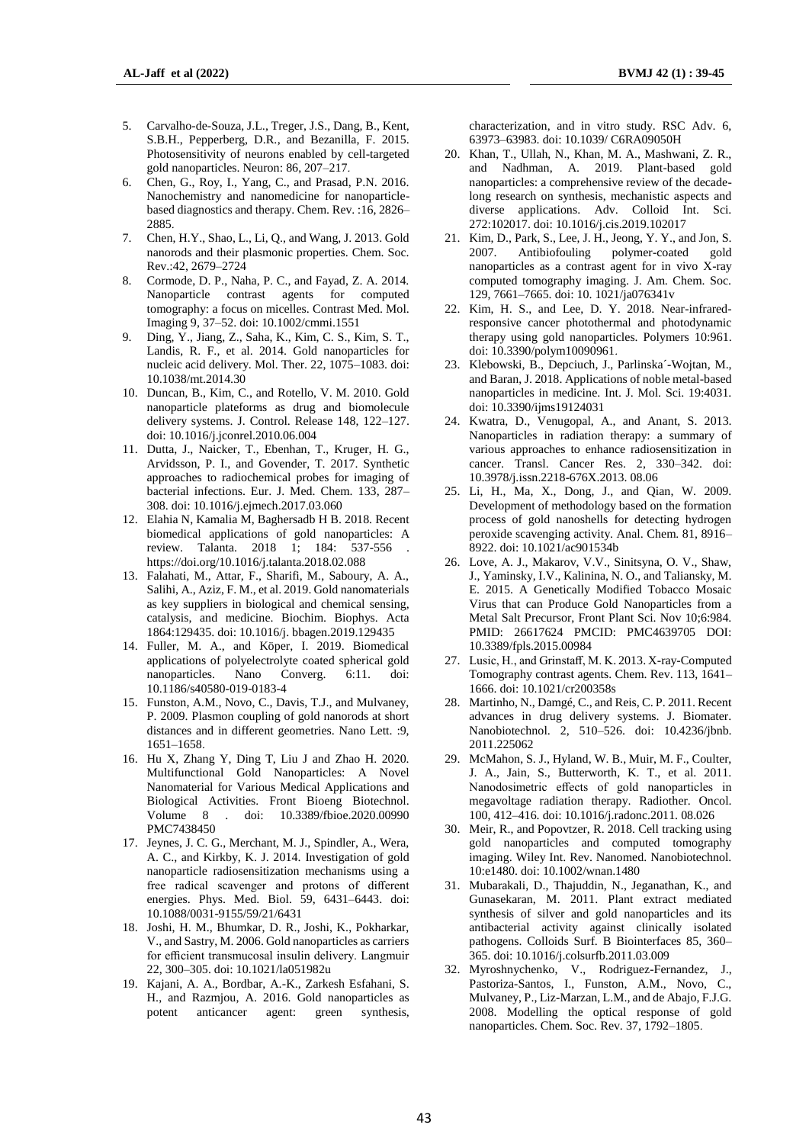- 5. Carvalho-de-Souza, J.L., Treger, J.S., Dang, B., Kent, S.B.H., Pepperberg, D.R., and Bezanilla, F. 2015. Photosensitivity of neurons enabled by cell-targeted gold nanoparticles. Neuron: 86, 207–217.
- 6. Chen, G., Roy, I., Yang, C., and Prasad, P.N. 2016. Nanochemistry and nanomedicine for nanoparticlebased diagnostics and therapy. Chem. Rev. :16, 2826– 2885.
- 7. Chen, H.Y., Shao, L., Li, Q., and Wang, J. 2013. Gold nanorods and their plasmonic properties. Chem. Soc. Rev.:42, 2679–2724
- 8. Cormode, D. P., Naha, P. C., and Fayad, Z. A. 2014. Nanoparticle contrast agents for computed tomography: a focus on micelles. Contrast Med. Mol. Imaging 9, 37–52. doi: 10.1002/cmmi.1551
- 9. Ding, Y., Jiang, Z., Saha, K., Kim, C. S., Kim, S. T., Landis, R. F., et al. 2014. Gold nanoparticles for nucleic acid delivery. Mol. Ther. 22, 1075–1083. doi: 10.1038/mt.2014.30
- 10. Duncan, B., Kim, C., and Rotello, V. M. 2010. Gold nanoparticle plateforms as drug and biomolecule delivery systems. J. Control. Release 148, 122–127. doi: 10.1016/j.jconrel.2010.06.004
- 11. Dutta, J., Naicker, T., Ebenhan, T., Kruger, H. G., Arvidsson, P. I., and Govender, T. 2017. Synthetic approaches to radiochemical probes for imaging of bacterial infections. Eur. J. Med. Chem. 133, 287– 308. doi: 10.1016/j.ejmech.2017.03.060
- 12. Elahia N, Kamalia M, Baghersadb H B. 2018. Recent biomedical applications of gold nanoparticles: A review. Talanta. 2018 1; 184: 537-556 . https://doi.org/10.1016/j.talanta.2018.02.088
- 13. Falahati, M., Attar, F., Sharifi, M., Saboury, A. A., Salihi, A., Aziz, F. M., et al. 2019. Gold nanomaterials as key suppliers in biological and chemical sensing, catalysis, and medicine. Biochim. Biophys. Acta 1864:129435. doi: 10.1016/j. bbagen.2019.129435
- 14. Fuller, M. A., and Köper, I. 2019. Biomedical applications of polyelectrolyte coated spherical gold nanoparticles. Nano Converg. 6:11. doi: 10.1186/s40580-019-0183-4
- 15. Funston, A.M., Novo, C., Davis, T.J., and Mulvaney, P. 2009. Plasmon coupling of gold nanorods at short distances and in different geometries. Nano Lett. :9, 1651–1658.
- 16. Hu X, Zhang Y, Ding T, Liu J and Zhao H. 2020. Multifunctional Gold Nanoparticles: A Novel Nanomaterial for Various Medical Applications and Biological Activities. Front Bioeng Biotechnol. Volume 8 . doi: 10.3389/fbioe.2020.00990 PMC7438450
- 17. Jeynes, J. C. G., Merchant, M. J., Spindler, A., Wera, A. C., and Kirkby, K. J. 2014. Investigation of gold nanoparticle radiosensitization mechanisms using a free radical scavenger and protons of different energies. Phys. Med. Biol. 59, 6431–6443. doi: 10.1088/0031-9155/59/21/6431
- 18. Joshi, H. M., Bhumkar, D. R., Joshi, K., Pokharkar, V., and Sastry, M. 2006. Gold nanoparticles as carriers for efficient transmucosal insulin delivery. Langmuir 22, 300–305. doi: 10.1021/la051982u
- 19. Kajani, A. A., Bordbar, A.-K., Zarkesh Esfahani, S. H., and Razmjou, A. 2016. Gold nanoparticles as potent anticancer agent: green synthesis,

characterization, and in vitro study. RSC Adv. 6, 63973–63983. doi: 10.1039/ C6RA09050H

- 20. Khan, T., Ullah, N., Khan, M. A., Mashwani, Z. R., and Nadhman, A. 2019. Plant-based gold nanoparticles: a comprehensive review of the decadelong research on synthesis, mechanistic aspects and diverse applications. Adv. Colloid Int. Sci. 272:102017. doi: 10.1016/j.cis.2019.102017
- 21. Kim, D., Park, S., Lee, J. H., Jeong, Y. Y., and Jon, S. 2007. Antibiofouling polymer-coated gold nanoparticles as a contrast agent for in vivo X-ray computed tomography imaging. J. Am. Chem. Soc. 129, 7661–7665. doi: 10. 1021/ja076341v
- 22. Kim, H. S., and Lee, D. Y. 2018. Near-infraredresponsive cancer photothermal and photodynamic therapy using gold nanoparticles. Polymers 10:961. doi: 10.3390/polym10090961.
- 23. Klebowski, B., Depciuch, J., Parlinska´-Wojtan, M., and Baran, J. 2018. Applications of noble metal-based nanoparticles in medicine. Int. J. Mol. Sci. 19:4031. doi: 10.3390/ijms19124031
- 24. Kwatra, D., Venugopal, A., and Anant, S. 2013. Nanoparticles in radiation therapy: a summary of various approaches to enhance radiosensitization in cancer. Transl. Cancer Res. 2, 330–342. doi: 10.3978/j.issn.2218-676X.2013. 08.06
- 25. Li, H., Ma, X., Dong, J., and Qian, W. 2009. Development of methodology based on the formation process of gold nanoshells for detecting hydrogen peroxide scavenging activity. Anal. Chem. 81, 8916– 8922. doi: 10.1021/ac901534b
- 26. Love, A. J., Makarov, V.V., Sinitsyna, O. V., Shaw, J., Yaminsky, I.V., Kalinina, N. O., and Taliansky, M. E. 2015. A Genetically Modified Tobacco Mosaic Virus that can Produce Gold Nanoparticles from a Metal Salt Precursor, Front Plant Sci. Nov 10;6:984. PMID: 26617624 PMCID: PMC4639705 DOI: 10.3389/fpls.2015.00984
- 27. Lusic, H., and Grinstaff, M. K. 2013. X-ray-Computed Tomography contrast agents. Chem. Rev. 113, 1641– 1666. doi: 10.1021/cr200358s
- 28. Martinho, N., Damgé, C., and Reis, C. P. 2011. Recent advances in drug delivery systems. J. Biomater. Nanobiotechnol. 2, 510–526. doi: 10.4236/jbnb. 2011.225062
- 29. McMahon, S. J., Hyland, W. B., Muir, M. F., Coulter, J. A., Jain, S., Butterworth, K. T., et al. 2011. Nanodosimetric effects of gold nanoparticles in megavoltage radiation therapy. Radiother. Oncol. 100, 412–416. doi: 10.1016/j.radonc.2011. 08.026
- 30. Meir, R., and Popovtzer, R. 2018. Cell tracking using gold nanoparticles and computed tomography imaging. Wiley Int. Rev. Nanomed. Nanobiotechnol. 10:e1480. doi: 10.1002/wnan.1480
- 31. Mubarakali, D., Thajuddin, N., Jeganathan, K., and Gunasekaran, M. 2011. Plant extract mediated synthesis of silver and gold nanoparticles and its antibacterial activity against clinically isolated pathogens. Colloids Surf. B Biointerfaces 85, 360– 365. doi: 10.1016/j.colsurfb.2011.03.009
- 32. Myroshnychenko, V., Rodriguez-Fernandez, J., Pastoriza-Santos, I., Funston, A.M., Novo, C., Mulvaney, P., Liz-Marzan, L.M., and de Abajo, F.J.G. 2008. Modelling the optical response of gold nanoparticles. Chem. Soc. Rev. 37, 1792–1805.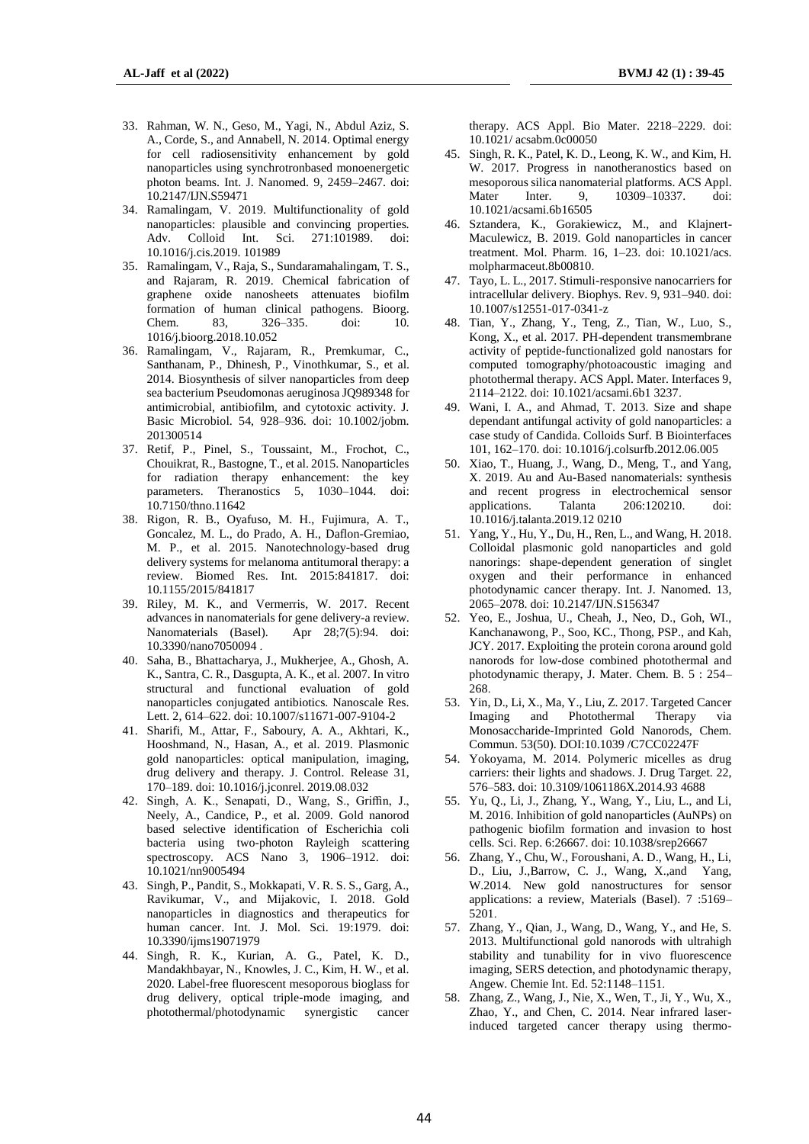- 33. Rahman, W. N., Geso, M., Yagi, N., Abdul Aziz, S. A., Corde, S., and Annabell, N. 2014. Optimal energy for cell radiosensitivity enhancement by gold nanoparticles using synchrotronbased monoenergetic photon beams. Int. J. Nanomed. 9, 2459–2467. doi: 10.2147/IJN.S59471
- 34. Ramalingam, V. 2019. Multifunctionality of gold nanoparticles: plausible and convincing properties. Adv. Colloid Int. Sci. 271:101989. doi: 10.1016/j.cis.2019. 101989
- 35. Ramalingam, V., Raja, S., Sundaramahalingam, T. S., and Rajaram, R. 2019. Chemical fabrication of graphene oxide nanosheets attenuates biofilm formation of human clinical pathogens. Bioorg. Chem. 83, 326–335. doi: 10. 1016/j.bioorg.2018.10.052
- 36. Ramalingam, V., Rajaram, R., Premkumar, C., Santhanam, P., Dhinesh, P., Vinothkumar, S., et al. 2014. Biosynthesis of silver nanoparticles from deep sea bacterium Pseudomonas aeruginosa JQ989348 for antimicrobial, antibiofilm, and cytotoxic activity. J. Basic Microbiol. 54, 928–936. doi: 10.1002/jobm. 201300514
- 37. Retif, P., Pinel, S., Toussaint, M., Frochot, C., Chouikrat, R., Bastogne, T., et al. 2015. Nanoparticles for radiation therapy enhancement: the key parameters. Theranostics 5, 1030–1044. doi: 10.7150/thno.11642
- 38. Rigon, R. B., Oyafuso, M. H., Fujimura, A. T., Goncalez, M. L., do Prado, A. H., Daflon-Gremiao, M. P., et al. 2015. Nanotechnology-based drug delivery systems for melanoma antitumoral therapy: a review. Biomed Res. Int. 2015:841817. doi: 10.1155/2015/841817
- 39. Riley, M. K., and Vermerris, W. 2017. Recent advances in nanomaterials for gene delivery-a review. Nanomaterials (Basel). Apr 28;7(5):94. doi: 10.3390/nano7050094 .
- 40. Saha, B., Bhattacharya, J., Mukherjee, A., Ghosh, A. K., Santra, C. R., Dasgupta, A. K., et al. 2007. In vitro structural and functional evaluation of gold nanoparticles conjugated antibiotics. Nanoscale Res. Lett. 2, 614–622. doi: 10.1007/s11671-007-9104-2
- 41. Sharifi, M., Attar, F., Saboury, A. A., Akhtari, K., Hooshmand, N., Hasan, A., et al. 2019. Plasmonic gold nanoparticles: optical manipulation, imaging, drug delivery and therapy. J. Control. Release 31, 170–189. doi: 10.1016/j.jconrel. 2019.08.032
- 42. Singh, A. K., Senapati, D., Wang, S., Griffin, J., Neely, A., Candice, P., et al. 2009. Gold nanorod based selective identification of Escherichia coli bacteria using two-photon Rayleigh scattering spectroscopy. ACS Nano 3, 1906–1912. doi: 10.1021/nn9005494
- 43. Singh, P., Pandit, S., Mokkapati, V. R. S. S., Garg, A., Ravikumar, V., and Mijakovic, I. 2018. Gold nanoparticles in diagnostics and therapeutics for human cancer. Int. J. Mol. Sci. 19:1979. doi: 10.3390/ijms19071979
- 44. Singh, R. K., Kurian, A. G., Patel, K. D., Mandakhbayar, N., Knowles, J. C., Kim, H. W., et al. 2020. Label-free fluorescent mesoporous bioglass for drug delivery, optical triple-mode imaging, and photothermal/photodynamic synergistic cancer

therapy. ACS Appl. Bio Mater. 2218–2229. doi: 10.1021/ acsabm.0c00050

- 45. Singh, R. K., Patel, K. D., Leong, K. W., and Kim, H. W. 2017. Progress in nanotheranostics based on mesoporous silica nanomaterial platforms. ACS Appl. Mater Inter. 9, 10309–10337. doi: 10.1021/acsami.6b16505
- 46. Sztandera, K., Gorakiewicz, M., and Klajnert-Maculewicz, B. 2019. Gold nanoparticles in cancer treatment. Mol. Pharm. 16, 1–23. doi: 10.1021/acs. molpharmaceut.8b00810.
- 47. Tayo, L. L., 2017. Stimuli-responsive nanocarriers for intracellular delivery. Biophys. Rev. 9, 931–940. doi: 10.1007/s12551-017-0341-z
- 48. Tian, Y., Zhang, Y., Teng, Z., Tian, W., Luo, S., Kong, X., et al. 2017. PH-dependent transmembrane activity of peptide-functionalized gold nanostars for computed tomography/photoacoustic imaging and photothermal therapy. ACS Appl. Mater. Interfaces 9, 2114–2122. doi: 10.1021/acsami.6b1 3237.
- 49. Wani, I. A., and Ahmad, T. 2013. Size and shape dependant antifungal activity of gold nanoparticles: a case study of Candida. Colloids Surf. B Biointerfaces 101, 162–170. doi: 10.1016/j.colsurfb.2012.06.005
- 50. Xiao, T., Huang, J., Wang, D., Meng, T., and Yang, X. 2019. Au and Au-Based nanomaterials: synthesis and recent progress in electrochemical sensor applications. Talanta 206:120210. doi: 10.1016/j.talanta.2019.12 0210
- 51. Yang, Y., Hu, Y., Du, H., Ren, L., and Wang, H. 2018. Colloidal plasmonic gold nanoparticles and gold nanorings: shape-dependent generation of singlet oxygen and their performance in enhanced photodynamic cancer therapy. Int. J. Nanomed. 13, 2065–2078. doi: 10.2147/IJN.S156347
- 52. Yeo, E., Joshua, U., Cheah, J., Neo, D., Goh, WI., Kanchanawong, P., Soo, KC., Thong, PSP., and Kah, JCY. 2017. Exploiting the protein corona around gold nanorods for low-dose combined photothermal and photodynamic therapy, J. Mater. Chem. B. 5 : 254– 268.
- 53. Yin, D., Li, X., Ma, Y., Liu, Z. 2017. Targeted Cancer Imaging and Photothermal Therapy Monosaccharide-Imprinted Gold Nanorods, Chem. Commun. 53(50). DOI:10.1039 /C7CC02247F
- 54. Yokoyama, M. 2014. Polymeric micelles as drug carriers: their lights and shadows. J. Drug Target. 22, 576–583. doi: 10.3109/1061186X.2014.93 4688
- 55. Yu, Q., Li, J., Zhang, Y., Wang, Y., Liu, L., and Li, M. 2016. Inhibition of gold nanoparticles (AuNPs) on pathogenic biofilm formation and invasion to host cells. Sci. Rep. 6:26667. doi: 10.1038/srep26667
- 56. Zhang, Y., Chu, W., Foroushani, A. D., Wang, H., Li, D., Liu, J.,Barrow, C. J., Wang, X.,and Yang, W.2014. New gold nanostructures for sensor applications: a review, Materials (Basel). 7 :5169– 5201.
- 57. Zhang, Y., Qian, J., Wang, D., Wang, Y., and He, S. 2013. Multifunctional gold nanorods with ultrahigh stability and tunability for in vivo fluorescence imaging, SERS detection, and photodynamic therapy, Angew. Chemie Int. Ed. 52:1148–1151.
- Zhang, Z., Wang, J., Nie, X., Wen, T., Ji, Y., Wu, X., Zhao, Y., and Chen, C. 2014. Near infrared laserinduced targeted cancer therapy using thermo-